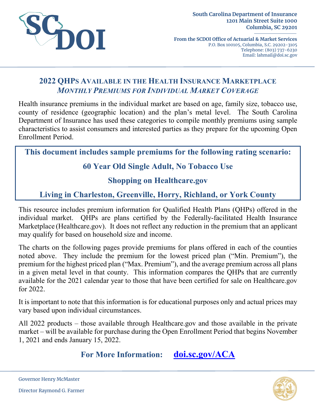

**From the SCDOI Office of Actuarial & Market Services** P.O. Box 100105, Columbia, S.C. 29202-3105 Telephone: (803) 737-6230 Email: lahmail@doi.sc.gov

# **2022 QHPS AVAILABLE IN THE HEALTH INSURANCE MARKETPLACE** *MONTHLY PREMIUMS FOR INDIVIDUAL MARKET COVERAGE*

Health insurance premiums in the individual market are based on age, family size, tobacco use, county of residence (geographic location) and the plan's metal level. The South Carolina Department of Insurance has used these categories to compile monthly premiums using sample characteristics to assist consumers and interested parties as they prepare for the upcoming Open Enrollment Period.

**This document includes sample premiums for the following rating scenario:**

# **60 Year Old Single Adult, No Tobacco Use**

### **Shopping on Healthcare.gov**

# **Living in Charleston, Greenville, Horry, Richland, or York County**

This resource includes premium information for Qualified Health Plans (QHPs) offered in the individual market. QHPs are plans certified by the Federally-facilitated Health Insurance Marketplace (Healthcare.gov). It does not reflect any reduction in the premium that an applicant may qualify for based on household size and income.

The charts on the following pages provide premiums for plans offered in each of the counties noted above. They include the premium for the lowest priced plan ("Min. Premium"), the premium for the highest priced plan ("Max. Premium"), and the average premium across all plans in a given metal level in that county. This information compares the QHPs that are currently available for the 2021 calendar year to those that have been certified for sale on Healthcare.gov for 2022.

It is important to note that this information is for educational purposes only and actual prices may vary based upon individual circumstances.

All 2022 products – those available through Healthcare.gov and those available in the private market – will be available for purchase during the Open Enrollment Period that begins November 1, 2021 and ends January 15, 2022.

**For More Information: [doi.sc.gov/ACA](http://doi.sc.gov/aca)**



Governor Henry McMaster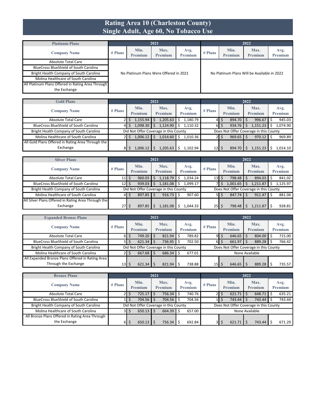#### **Rating Area 10 (Charleston County) Single Adult, Age 60, No Tobacco Use**

| <b>Platinum Plans</b>                             |         |                 | 2021                                   |                        |           |                                             | 2022            |                 |
|---------------------------------------------------|---------|-----------------|----------------------------------------|------------------------|-----------|---------------------------------------------|-----------------|-----------------|
| <b>Company Name</b>                               | # Plans | Min.<br>Premium | Max.<br>Premium                        | Avg.<br><b>Premium</b> | $#$ Plans | Min.<br>Premium                             | Max.<br>Premium | Avg.<br>Premium |
| Absolute Total Care                               |         |                 |                                        |                        |           |                                             |                 |                 |
| <b>BlueCross BlueShield of South Carolina</b>     |         |                 |                                        |                        |           |                                             |                 |                 |
| Bright Health Company of South Carolina           |         |                 | No Platinum Plans Were Offered in 2021 |                        |           | No Platinum Plans Will be Available in 2022 |                 |                 |
| Molina Healthcare of South Carolina               |         |                 |                                        |                        |           |                                             |                 |                 |
| All Platinum Plans Offered in Rating Area Through |         |                 |                                        |                        |           |                                             |                 |                 |
| the Exchange                                      |         |                 |                                        |                        |           |                                             |                 |                 |

| <b>Gold Plans</b>                                 |           |                                       | 2021            |                 |                 |                        | 2022                                   |                 |
|---------------------------------------------------|-----------|---------------------------------------|-----------------|-----------------|-----------------|------------------------|----------------------------------------|-----------------|
| <b>Company Name</b>                               | $#$ Plans | Min.<br>Premium                       | Max.<br>Premium | Avg.<br>Premium | $#$ Plans       | Min.<br><b>Premium</b> | Max.<br>Premium                        | Avg.<br>Premium |
| Absolute Total Care                               |           | 1,155.94                              | 1,205.63        | 1,180.79<br>Ŝ   | 41              | $894.70$ \$<br>Ś       | 996.67                                 | 945.03          |
| <b>BlueCross BlueShield of South Carolina</b>     | 41        | 1,098.30                              | 1.124.90        | 1.110.32<br>Ś   | 61              | $934.76$ \$<br>Ś       | 1,151.23                               | 1.074.90        |
| Bright Health Company of South Carolina           |           | Did Not Offer Coverage in this County |                 |                 |                 |                        | Does Not Offer Coverage in this County |                 |
| Molina Healthcare of South Carolina               |           | 1.006.12                              | 1.014.60        | 1.010.36        |                 | $969.65$ \$<br>S       | $970.12$ \$                            | 969.89          |
| All Gold Plans Offered in Rating Area Through the |           |                                       |                 |                 |                 |                        |                                        |                 |
| Exchange                                          | 81        | 1,006.12                              | 1.205.63        | 1.102.94        | 12 <sub>l</sub> | 894.70                 | l,151.23                               | 1.014.10        |

| <b>Silver Plans</b>                                 |             |                 | 2021 |                                       |   |                        |                                  |                |                 | 2022 |                                        |                 |
|-----------------------------------------------------|-------------|-----------------|------|---------------------------------------|---|------------------------|----------------------------------|----------------|-----------------|------|----------------------------------------|-----------------|
| <b>Company Name</b>                                 | $#$ Plans   | Min.<br>Premium |      | Max.<br><b>Premium</b>                |   | Avg.<br><b>Premium</b> | $#$ Plans                        |                | Min.<br>Premium |      | Max.<br><b>Premium</b>                 | Avg.<br>Premium |
| <b>Absolute Total Care</b>                          | $11$ $\sim$ | 960.03          |      | 1,118.79                              | Ŝ | 1.034.24               | $13$ $\overline{\phantom{1}}$ \$ |                | 798.48          |      | 894.03 \$                              | 841.02          |
| <b>BlueCross BlueShield of South Carolina</b>       | $12$   \$   | 939.03          |      | 1,181.08                              |   | 1,099.17               |                                  | 7   \$         | 1,001.65        |      | 1,211.87                               | 1.125.97        |
| Bright Health Company of South Carolina             |             |                 |      | Did Not Offer Coverage in this County |   |                        |                                  |                |                 |      | Does Not Offer Coverage in this County |                 |
| Molina Healthcare of South Carolina                 | 41          | $897.85$ \$     |      | 916.73                                | Ŝ | 907.60                 |                                  | $5 \mid \zeta$ | 847.74          |      | $911.47$ S                             | 881.04          |
| All Silver Plans Offered in Rating Area Through the |             |                 |      |                                       |   |                        |                                  |                |                 |      |                                        |                 |
| Exchange                                            | 27 I S      | 897.85          |      | .181.08                               |   | ,044.33                | $25$   \$                        |                | 798.48          |      | ,211.87                                | 928.81          |

| <b>Expanded Bronze Plans</b>                     |                 |   |                 | 2021 |                                       |                 |                 |                |                                        | 2022 |                 |                 |
|--------------------------------------------------|-----------------|---|-----------------|------|---------------------------------------|-----------------|-----------------|----------------|----------------------------------------|------|-----------------|-----------------|
| <b>Company Name</b>                              | $#$ Plans       |   | Min.<br>Premium |      | Max.<br>Premium                       | Avg.<br>Premium | $#$ Plans       |                | Min.<br>Premium                        |      | Max.<br>Premium | Avg.<br>Premium |
| Absolute Total Care                              | 61              | 5 | $749.20$ S      |      | 821.94                                | 789.82          | 9               | \$             | 646.65                                 |      | 804.00          | 715.00          |
| <b>BlueCross BlueShield of South Carolina</b>    | 51              |   | $621.34$ \$     |      | 736.95                                | 702.50          | 61              | \$             | 661.97                                 |      | 889.28          | 766.42          |
| Bright Health Company of South Carolina          |                 |   |                 |      | Did Not Offer Coverage in this County |                 |                 |                | Does Not Offer Coverage in this County |      |                 |                 |
| Molina Healthcare of South Carolina              |                 |   | $667.68$ \$     |      | 686.34                                | 677.01          |                 | None Available |                                        |      |                 |                 |
| All Expanded Bronze Plans Offered in Rating Area |                 |   |                 |      |                                       |                 |                 |                |                                        |      |                 |                 |
| Through the Exchange                             | 13 <sup>1</sup> |   | $621.34$ S      |      | 821.94                                | 738.88          | 15 <sub>1</sub> | S              | 646.65                                 |      | 889.28          | 735.57          |

| <b>Bronze Plans</b>                             |         |   |                 | 2021 |                                       |                        |           |                                        | 2022 |                        |                 |
|-------------------------------------------------|---------|---|-----------------|------|---------------------------------------|------------------------|-----------|----------------------------------------|------|------------------------|-----------------|
| <b>Company Name</b>                             | # Plans |   | Min.<br>Premium |      | Max.<br><b>Premium</b>                | Avg.<br><b>Premium</b> | $#$ Plans | Min.<br>Premium                        |      | Max.<br><b>Premium</b> | Avg.<br>Premium |
| <b>Absolute Total Care</b>                      | 21      | S | $725.17$ \$     |      | 756.34                                | 740.76                 |           | 621.71                                 |      | $648.71$ \$            | 635.21          |
| <b>BlueCross BlueShield of South Carolina</b>   | 11      |   | $704.56$ \$     |      | 704.56                                | 704.56                 |           | 743.44                                 |      | 743.44                 | 743.44          |
| Bright Health Company of South Carolina         |         |   |                 |      | Did Not Offer Coverage in this County |                        |           | Does Not Offer Coverage in this County |      |                        |                 |
| Molina Healthcare of South Carolina             | 3I      | S | $650.13$ \$     |      | $664.39$ \$                           | 657.00                 |           | None Available                         |      |                        |                 |
| All Bronze Plans Offered in Rating Area Through |         |   |                 |      |                                       |                        |           |                                        |      |                        |                 |
| the Exchange                                    | 6I      |   | 650.13          |      | 756.34                                | 692.84                 |           | 621.71                                 |      | 743.44                 | 671.29          |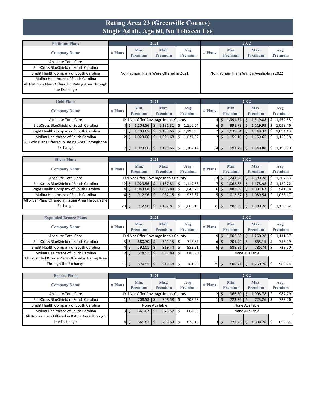#### **Rating Area 23 (Greenville County) Single Adult, Age 60, No Tobacco Use**

| <b>Platinum Plans</b>                             |         |                 | 2021                                   |                        |           |                                             | 2022            |                 |
|---------------------------------------------------|---------|-----------------|----------------------------------------|------------------------|-----------|---------------------------------------------|-----------------|-----------------|
| <b>Company Name</b>                               | # Plans | Min.<br>Premium | Max.<br>Premium                        | Avg.<br><b>Premium</b> | $#$ Plans | Min.<br>Premium                             | Max.<br>Premium | Avg.<br>Premium |
| Absolute Total Care                               |         |                 |                                        |                        |           |                                             |                 |                 |
| <b>BlueCross BlueShield of South Carolina</b>     |         |                 |                                        |                        |           |                                             |                 |                 |
| Bright Health Company of South Carolina           |         |                 | No Platinum Plans Were Offered in 2021 |                        |           | No Platinum Plans Will be Available in 2022 |                 |                 |
| Molina Healthcare of South Carolina               |         |                 |                                        |                        |           |                                             |                 |                 |
| All Platinum Plans Offered in Rating Area Through |         |                 |                                        |                        |           |                                             |                 |                 |
| the Exchange                                      |         |                 |                                        |                        |           |                                             |                 |                 |

| <b>Gold Plans</b>                                 |           |                 | 2021                                  |                        |           |                        | 2022            |                 |
|---------------------------------------------------|-----------|-----------------|---------------------------------------|------------------------|-----------|------------------------|-----------------|-----------------|
| <b>Company Name</b>                               | $#$ Plans | Min.<br>Premium | Max.<br>Premium                       | Avg.<br><b>Premium</b> | $#$ Plans | Min.<br><b>Premium</b> | Max.<br>Premium | Avg.<br>Premium |
| Absolute Total Care                               |           |                 | Did Not Offer Coverage in this County |                        |           | 1,391.31               | 1,549.88        | 1,469.58        |
| <b>BlueCross BlueShield of South Carolina</b>     | 4         | 1.104.56        | 1,131.31                              | 1.116.64<br>Ś          | 61        | 991.79<br>S            | $1,119.99$ \$   | 1,059.46        |
| Bright Health Company of South Carolina           |           | 1,193.65        | 1,193.65                              | 1,193.65               |           | 1,039.54               | 1,149.32        | 1,094.43        |
| Molina Healthcare of South Carolina               |           | 1,023.06        | 1,031.68                              | 1.027.37               |           | 1,159.10               | 1,159.65        | 1.159.38        |
| All Gold Plans Offered in Rating Area Through the |           |                 |                                       |                        |           |                        |                 |                 |
| Exchange                                          |           | 1.023.06        | 1.193.65                              | 1.102.14               | 14        | Ś<br>991.79            | 1,549.88        | 1.195.90        |

| <b>Silver Plans</b>                                 |                 |                        | 2021                                  |                        |                 |                        | 2022                   |                        |
|-----------------------------------------------------|-----------------|------------------------|---------------------------------------|------------------------|-----------------|------------------------|------------------------|------------------------|
| <b>Company Name</b>                                 | $#$ Plans       | Min.<br><b>Premium</b> | Max.<br><b>Premium</b>                | Avg.<br><b>Premium</b> | $#$ Plans       | Min.<br><b>Premium</b> | Max.<br><b>Premium</b> | Avg.<br><b>Premium</b> |
| Absolute Total Care                                 |                 |                        | Did Not Offer Coverage in this County |                        | 13 <sup>1</sup> | 1,241.68<br>S          | 1,390.28               | .307.83                |
| <b>BlueCross BlueShield of South Carolina</b>       | 12 <sub>l</sub> | 1,029.56               | 1,187.81                              | Ś<br>1.119.66          |                 | 1,062.85<br>S          | 1,178.98               | 1,120.72               |
| Bright Health Company of South Carolina             | 41              | 1,043.68               | 1,056.88                              | 1,048.79               | 61              | 883.59<br>S            | 1,007.67               | 941.58                 |
| Molina Healthcare of South Carolina                 | 41              | 912.96                 | 932.15                                | 922.87                 |                 | 1,013.37<br>Ŝ          | 1,089.54               | 1,053.17               |
| All Silver Plans Offered in Rating Area Through the |                 |                        |                                       |                        |                 |                        |                        |                        |
| Exchange                                            | 20 <sup>1</sup> | 912.96                 | 1,187.81                              | 1,066.13               | 31              | 883.59                 | 1,390.28               | 1,153.62               |

| <b>Expanded Bronze Plans</b>                     |                 |         | 2021 |                                       |                |                 |     |                | 2022 |                |          |
|--------------------------------------------------|-----------------|---------|------|---------------------------------------|----------------|-----------------|-----|----------------|------|----------------|----------|
| <b>Company Name</b>                              | $#$ Plans       | Min.    |      | Max.                                  | Avg.           | $#$ Plans       |     | Min.           |      | Max.           | Avg.     |
|                                                  |                 | Premium |      | <b>Premium</b>                        | <b>Premium</b> |                 |     | <b>Premium</b> |      | <b>Premium</b> | Premium  |
| Absolute Total Care                              |                 |         |      | Did Not Offer Coverage in this County |                |                 |     | 1,005.58       |      | 1,250.28       | 1,111.87 |
| <b>BlueCross BlueShield of South Carolina</b>    | 51              | 680.70  |      | 741.15                                | 717.67         | 6I              |     | 701.99         |      | 865.15         | 755.29   |
| Bright Health Company of South Carolina          | 41              | 792.01  |      | 919.44                                | 852.51         |                 | 6 S | 688.21         |      | 785.74         | 729.50   |
| Molina Healthcare of South Carolina              |                 | 678.91  |      | 697.89                                | 688.40         |                 |     |                |      | None Available |          |
| All Expanded Bronze Plans Offered in Rating Area |                 |         |      |                                       |                |                 |     |                |      |                |          |
| Through the Exchange                             | 11 <sup>1</sup> | 678.91  |      | 919.44                                | 761.38         | 21 <sup>1</sup> |     | 688.21         |      | 1,250.28       | 900.74   |

| <b>Bronze Plans</b>                             |           |                 |             | 2021                                  |   |                        |         |                 | 2022 |                 |                 |
|-------------------------------------------------|-----------|-----------------|-------------|---------------------------------------|---|------------------------|---------|-----------------|------|-----------------|-----------------|
| <b>Company Name</b>                             | $#$ Plans | Min.<br>Premium |             | Max.<br><b>Premium</b>                |   | Avg.<br><b>Premium</b> | # Plans | Min.<br>Premium |      | Max.<br>Premium | Avg.<br>Premium |
| <b>Absolute Total Care</b>                      |           |                 |             | Did Not Offer Coverage in this County |   |                        |         | 966.80<br>\$    |      | $1,008.78$ \$   | 987.79          |
| <b>BlueCross BlueShield of South Carolina</b>   |           |                 | $708.58$ \$ | 708.58                                |   | 708.58                 |         | 723.26          |      | 723.26          | 723.26          |
| Bright Health Company of South Carolina         |           |                 |             | None Available                        |   |                        |         |                 |      | None Available  |                 |
| Molina Healthcare of South Carolina             | 3I        |                 | 661.07      | 675.57                                | Ŝ | 668.05                 |         |                 |      | None Available  |                 |
| All Bronze Plans Offered in Rating Area Through |           |                 |             |                                       |   |                        |         |                 |      |                 |                 |
| the Exchange                                    | 41        |                 | 661.07      | 708.58                                |   | 678.18                 | 3I      | 723.26<br>S     |      | l,008.78 S      | 899.61          |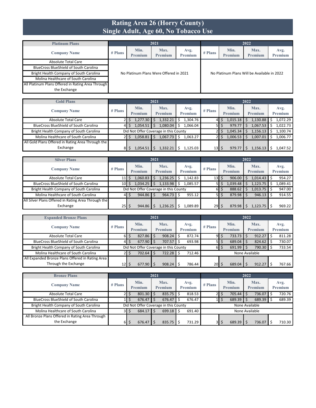#### **Rating Area 26 (Horry County) Single Adult, Age 60, No Tobacco Use**

| <b>Platinum Plans</b>                             |         |                 | 2021                                   |                        |           |                                             | 2022            |                 |
|---------------------------------------------------|---------|-----------------|----------------------------------------|------------------------|-----------|---------------------------------------------|-----------------|-----------------|
| <b>Company Name</b>                               | # Plans | Min.<br>Premium | Max.<br>Premium                        | Avg.<br><b>Premium</b> | $#$ Plans | Min.<br>Premium                             | Max.<br>Premium | Avg.<br>Premium |
| Absolute Total Care                               |         |                 |                                        |                        |           |                                             |                 |                 |
| <b>BlueCross BlueShield of South Carolina</b>     |         |                 |                                        |                        |           |                                             |                 |                 |
| Bright Health Company of South Carolina           |         |                 | No Platinum Plans Were Offered in 2021 |                        |           | No Platinum Plans Will be Available in 2022 |                 |                 |
| Molina Healthcare of South Carolina               |         |                 |                                        |                        |           |                                             |                 |                 |
| All Platinum Plans Offered in Rating Area Through |         |                 |                                        |                        |           |                                             |                 |                 |
| the Exchange                                      |         |                 |                                        |                        |           |                                             |                 |                 |

| <b>Gold Plans</b>                                 |           |                                       | 2021            |                        |                 |                        | 2022            |                 |
|---------------------------------------------------|-----------|---------------------------------------|-----------------|------------------------|-----------------|------------------------|-----------------|-----------------|
| <b>Company Name</b>                               | $#$ Plans | Min.<br>Premium                       | Max.<br>Premium | Avg.<br><b>Premium</b> | $#$ Plans       | Min.<br><b>Premium</b> | Max.<br>Premium | Avg.<br>Premium |
| Absolute Total Care                               |           | 1,277.30                              | 1,332.21        | 1,304.76<br>S          |                 | 1,015.18               | 1,130.88        | 1,072.29        |
| <b>BlueCross BlueShield of South Carolina</b>     | 41        | 1,054.51                              | 1.080.04        | 1.066.04<br>S          |                 | 979.77<br>S            | 1,067.53        | 1,022.73        |
| Bright Health Company of South Carolina           |           | Did Not Offer Coverage in this County |                 |                        |                 | 1,045.34               | 1,156.13        | 1.100.74        |
| Molina Healthcare of South Carolina               |           | 1.058.81                              | 1.067.73        | 1.063.27<br>Ś          |                 | 1,006.53               | 1,007.01        | 1.006.77        |
| All Gold Plans Offered in Rating Area Through the |           |                                       |                 |                        |                 |                        |                 |                 |
| Exchange                                          | 81        | 1,054.51                              | 1.332.21        | 1.125.03               | 13 <sup>1</sup> | 979.7                  | 1,156.13        | 1.047.52        |

| <b>Silver Plans</b>                                 |           |                        | 2021                                  |                 |                 |                        | 2022                   |                        |
|-----------------------------------------------------|-----------|------------------------|---------------------------------------|-----------------|-----------------|------------------------|------------------------|------------------------|
| <b>Company Name</b>                                 | $#$ Plans | Min.<br><b>Premium</b> | Max.<br><b>Premium</b>                | Avg.<br>Premium | $#$ Plans       | Min.<br><b>Premium</b> | Max.<br><b>Premium</b> | Avg.<br><b>Premium</b> |
| Absolute Total Care                                 | 11 F      | 1,060.83<br>S          | 1,236.25                              | 1.142.83<br>Ś   | 13 <sup>1</sup> | 906.00<br>S            | 1,014.43               | 954.27                 |
| <b>BlueCross BlueShield of South Carolina</b>       | 10        | 1,034.25               | 1,133.98                              | 1,085.57<br>S   |                 | 1,039.48<br>S          | 1,123.75               | 1,089.41               |
| Bright Health Company of South Carolina             |           |                        | Did Not Offer Coverage in this County |                 | 61              | 888.62<br>\$           | $1,013.75$ \$          | 947.00                 |
| Molina Healthcare of South Carolina                 | 41        | $944.86$ \$            | 964.73                                | 955.12          |                 | 879.98<br>S            | $946.13$ \$            | 914.55                 |
| All Silver Plans Offered in Rating Area Through the |           |                        |                                       |                 |                 |                        |                        |                        |
| Exchange                                            | $25$   \$ | 944.86                 | 1,236.25                              | 1,089.89        | 29              | 879.98                 | $1,123.75$ \$          | 969.22                 |

| <b>Expanded Bronze Plans</b>                     |                 | 2021 |         |  |                                       |  |                | 2022            |     |                |  |                |         |
|--------------------------------------------------|-----------------|------|---------|--|---------------------------------------|--|----------------|-----------------|-----|----------------|--|----------------|---------|
|                                                  |                 |      | Min.    |  | Max.                                  |  | Avg.           |                 |     | Min.           |  | Max.           | Avg.    |
| <b>Company Name</b>                              | $#$ Plans       |      | Premium |  | <b>Premium</b>                        |  | <b>Premium</b> | $#$ Plans       |     | <b>Premium</b> |  | <b>Premium</b> | Premium |
| Absolute Total Care                              | 61              |      | 827.86  |  | 908.24                                |  | 872.74         |                 | 95  | 733.73         |  | 912.27         | 811.28  |
| <b>BlueCross BlueShield of South Carolina</b>    | 41              |      | 677.90  |  | 707.57                                |  | 693.98         | 51              |     | 689.04         |  | 824.62         | 730.07  |
| Bright Health Company of South Carolina          |                 |      |         |  | Did Not Offer Coverage in this County |  |                |                 | 6 S | 691.99         |  | 790.30         | 733.54  |
| Molina Healthcare of South Carolina              |                 |      | 702.64  |  | 722.28                                |  | 712.46         |                 |     | None Available |  |                |         |
| All Expanded Bronze Plans Offered in Rating Area |                 |      |         |  |                                       |  |                |                 |     |                |  |                |         |
| Through the Exchange                             | 12 <sub>l</sub> |      | 677.90  |  | 908.24                                |  | 786.44         | 20 <sup>1</sup> |     | 689.04         |  | 912.27         | 767.66  |

| <b>Bronze Plans</b>                             | 2021      |       |                                       |  |                        |    |                 |         | 2022             |                 |  |                 |  |                 |  |  |
|-------------------------------------------------|-----------|-------|---------------------------------------|--|------------------------|----|-----------------|---------|------------------|-----------------|--|-----------------|--|-----------------|--|--|
| <b>Company Name</b>                             | $#$ Plans |       | Min.<br>Premium                       |  | Max.<br><b>Premium</b> |    | Avg.<br>Premium | # Plans |                  | Min.<br>Premium |  | Max.<br>Premium |  | Avg.<br>Premium |  |  |
| <b>Absolute Total Care</b>                      | 21        | 5     | $801.30$ \$                           |  | 835.75                 | Ŝ. | 818.53          |         | $21\overline{s}$ | 705.44          |  | 736.07          |  | 720.76          |  |  |
| <b>BlueCross BlueShield of South Carolina</b>   |           |       | 676.47                                |  | 676.47                 |    | 676.47          |         |                  | 689.39          |  | $689.39$ \$     |  | 689.39          |  |  |
| Bright Health Company of South Carolina         |           |       | Did Not Offer Coverage in this County |  |                        |    |                 |         |                  |                 |  | None Available  |  |                 |  |  |
| Molina Healthcare of South Carolina             |           | 3 I S | 684.17                                |  | 699.18                 |    | 691.40          |         |                  |                 |  | None Available  |  |                 |  |  |
| All Bronze Plans Offered in Rating Area Through |           |       |                                       |  |                        |    |                 |         |                  |                 |  |                 |  |                 |  |  |
| the Exchange                                    | 61        |       | 676.47                                |  | 835.75                 |    | 731.29          | 3I      | S                | 689.39          |  | 736.07          |  | 710.30          |  |  |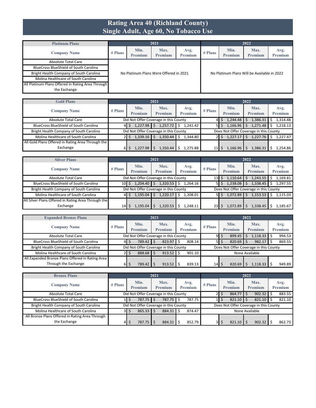#### **Rating Area 40 (Richland County) Single Adult, Age 60, No Tobacco Use**

| <b>Platinum Plans</b>                             |         |                        | 2021                                   |                        |         |                                             | 2022            |                 |
|---------------------------------------------------|---------|------------------------|----------------------------------------|------------------------|---------|---------------------------------------------|-----------------|-----------------|
| <b>Company Name</b>                               | # Plans | Min.<br><b>Premium</b> | Max.<br>Premium                        | Avg.<br><b>Premium</b> | # Plans | Min.<br>Premium                             | Max.<br>Premium | Avg.<br>Premium |
| Absolute Total Care                               |         |                        |                                        |                        |         |                                             |                 |                 |
| <b>BlueCross BlueShield of South Carolina</b>     |         |                        |                                        |                        |         |                                             |                 |                 |
| Bright Health Company of South Carolina           |         |                        | No Platinum Plans Were Offered in 2021 |                        |         | No Platinum Plans Will be Available in 2022 |                 |                 |
| Molina Healthcare of South Carolina               |         |                        |                                        |                        |         |                                             |                 |                 |
| All Platinum Plans Offered in Rating Area Through |         |                        |                                        |                        |         |                                             |                 |                 |
| the Exchange                                      |         |                        |                                        |                        |         |                                             |                 |                 |

| <b>Gold Plans</b>                                 |           |                                       | 2021                   |                 |           |                        | 2022                                   |                 |
|---------------------------------------------------|-----------|---------------------------------------|------------------------|-----------------|-----------|------------------------|----------------------------------------|-----------------|
| <b>Company Name</b>                               | $#$ Plans | Min.<br>Premium                       | Max.<br><b>Premium</b> | Avg.<br>Premium | $#$ Plans | Min.<br><b>Premium</b> | Max.<br>Premium                        | Avg.<br>Premium |
| Absolute Total Care                               |           | Did Not Offer Coverage in this County |                        |                 |           | $1,244.48$ \$          | 1,386.31                               | 1,314.48        |
| <b>BlueCross BlueShield of South Carolina</b>     | 41        | 1,227.98                              | 1,257.72               | Ŝ.<br>1.241.42  |           | 1,166.96               | 1,271.48                               | 1,218.13        |
| Bright Health Company of South Carolina           |           | Did Not Offer Coverage in this County |                        |                 |           |                        | Does Not Offer Coverage in this County |                 |
| Molina Healthcare of South Carolina               |           | 1.339.16                              | 1.350.44               | 1.344.80        |           | 1.227.17               | 1,227.76                               | 1.227.47        |
| All Gold Plans Offered in Rating Area Through the |           |                                       |                        |                 |           |                        |                                        |                 |
| Exchange                                          | ы         | 1,227.98                              | .350.44                | 1.275.88        |           | 1,166.96               | 1,386.31                               | 1.254.86        |

| <b>Silver Plans</b>                                 |           |                                       | 2021                   |                 |                 |                        | 2022                                   |                        |
|-----------------------------------------------------|-----------|---------------------------------------|------------------------|-----------------|-----------------|------------------------|----------------------------------------|------------------------|
| <b>Company Name</b>                                 | $#$ Plans | Min.<br>Premium                       | Max.<br><b>Premium</b> | Avg.<br>Premium | $#$ Plans       | Min.<br><b>Premium</b> | Max.<br>Premium                        | Avg.<br><b>Premium</b> |
| <b>Absolute Total Care</b>                          |           | Did Not Offer Coverage in this County |                        |                 | 13 <sup>l</sup> | 1,110.64<br>Ś.         | 1,243.55                               | 1.169.81               |
| <b>BlueCross BlueShield of South Carolina</b>       | 10 S      | 1.204.40                              | 1,320.53               | \$<br>1.264.16  |                 | 1,238.08<br>5   \$     | 1,338.45                               | 1.297.55               |
| Bright Health Company of South Carolina             |           | Did Not Offer Coverage in this County |                        |                 |                 |                        | Does Not Offer Coverage in this County |                        |
| Molina Healthcare of South Carolina                 | 41        | 1.195.04                              | 1,220.17               | 1.208.01<br>\$  |                 | 1,072.89<br>5 I S      | 1,153.53                               | 1.115.03               |
| All Silver Plans Offered in Rating Area Through the |           |                                       |                        |                 |                 |                        |                                        |                        |
| Exchange                                            | 14 I      | l.195.04                              | .320.53                | 248.11          | 23              | 1.072.89               | 1,338.45                               | .185.67                |

| <b>Expanded Bronze Plans</b>                     |           |                 | 2021                                  |                 |           |                 | 2022                                   |                 |  |
|--------------------------------------------------|-----------|-----------------|---------------------------------------|-----------------|-----------|-----------------|----------------------------------------|-----------------|--|
| <b>Company Name</b>                              | $#$ Plans | Min.<br>Premium | Max.<br>Premium                       | Avg.<br>Premium | $#$ Plans | Min.<br>Premium | Max.<br>Premium                        | Avg.<br>Premium |  |
| Absolute Total Care                              |           |                 | Did Not Offer Coverage in this County |                 | 9         | \$<br>899.45    | $1,118.33$ \$                          | 994.53          |  |
| <b>BlueCross BlueShield of South Carolina</b>    | 41        | 789.42 \$       | 823.97                                | 808.14<br>Ŝ     | <b>51</b> | 820.69<br>\$    | $982.17$ \$                            | 869.55          |  |
| Bright Health Company of South Carolina          |           |                 | Did Not Offer Coverage in this County |                 |           |                 | Does Not Offer Coverage in this County |                 |  |
| Molina Healthcare of South Carolina              |           | 888.68 \$       | 913.52                                | 901.10          |           | None Available  |                                        |                 |  |
| All Expanded Bronze Plans Offered in Rating Area |           |                 |                                       |                 |           |                 |                                        |                 |  |
| Through the Exchange                             | 61        | $789.42$ S      | 913.52                                | 839.13          | 14        | 820.69<br>S     | l,118.33                               | 949.89          |  |

| <b>Bronze Plans</b>                             |         |                        | 2021 |                                       |     |                        | 2022      |                 |  |                                        |                 |
|-------------------------------------------------|---------|------------------------|------|---------------------------------------|-----|------------------------|-----------|-----------------|--|----------------------------------------|-----------------|
| <b>Company Name</b>                             | # Plans | Min.<br>Premium        |      | Max.<br><b>Premium</b>                |     | Avg.<br><b>Premium</b> | $#$ Plans | Min.<br>Premium |  | Max.<br><b>Premium</b>                 | Avg.<br>Premium |
| <b>Absolute Total Care</b>                      |         |                        |      | Did Not Offer Coverage in this County |     |                        |           | 864.77          |  | $902.32$ \$                            | 883.55          |
| <b>BlueCross BlueShield of South Carolina</b>   |         | 787.75 \$              |      | 787.75                                | l S | 787.75                 |           | 821.10          |  | 821.10                                 | 821.10          |
| Bright Health Company of South Carolina         |         |                        |      | Did Not Offer Coverage in this County |     |                        |           |                 |  | Does Not Offer Coverage in this County |                 |
| Molina Healthcare of South Carolina             | 3I      | $865.33$ $\frac{1}{5}$ |      | 884.31                                | Ŝ.  | 874.47                 |           | None Available  |  |                                        |                 |
| All Bronze Plans Offered in Rating Area Through |         |                        |      |                                       |     |                        |           |                 |  |                                        |                 |
| the Exchange                                    | 41      | 787.75                 |      | 884.31                                |     | 852.79                 |           | 821.10          |  | 902.32                                 | 862.73          |